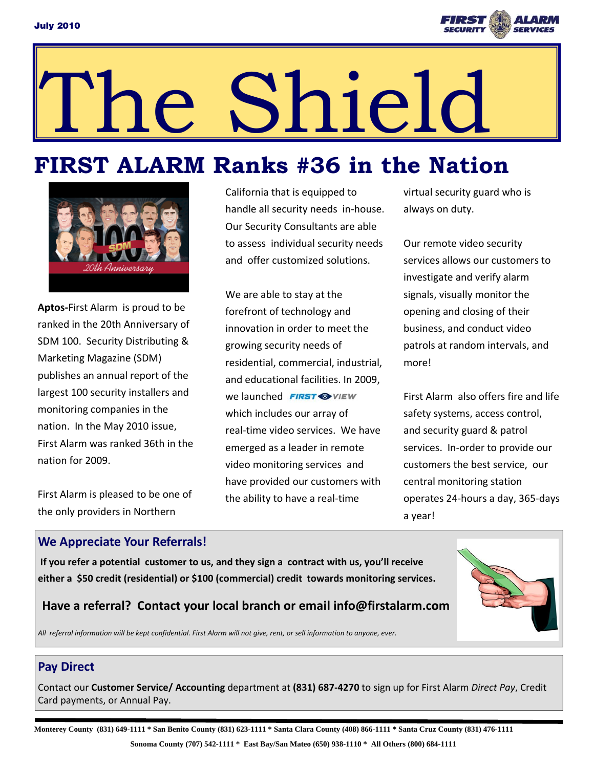

# The Shield

## **FIRST ALARM Ranks #36 in the Nation**



**Aptos‐**First Alarm is proud to be ranked in the 20th Anniversary of SDM 100. Security Distributing & Marketing Magazine (SDM) publishes an annual report of the largest 100 security installers and monitoring companies in the nation. In the May 2010 issue, First Alarm was ranked 36th in the nation for 2009.

First Alarm is pleased to be one of the only providers in Northern

California that is equipped to handle all security needs in‐house. Our Security Consultants are able to assess individual security needs and offer customized solutions.

We are able to stay at the forefront of technology and innovation in order to meet the growing security needs of residential, commercial, industrial, and educational facilities. In 2009, we launched **FIRST** WIEW which includes our array of real‐time video services. We have emerged as a leader in remote video monitoring services and have provided our customers with the ability to have a real‐time

virtual security guard who is always on duty.

Our remote video security services allows our customers to investigate and verify alarm signals, visually monitor the opening and closing of their business, and conduct video patrols at random intervals, and more!

First Alarm also offers fire and life safety systems, access control, and security guard & patrol services. In‐order to provide our customers the best service, our central monitoring station operates 24‐hours a day, 365‐days a year!

#### **We Appreciate Your Referrals!**

If you refer a potential customer to us, and they sign a contract with us, you'll receive **either a \$50 credit (residential) or \$100 (commercial) credit towards monitoring services.** 



#### **Have a referral? Contact your local branch or email info@firstalarm.com**

All referral information will be kept confidential. First Alarm will not give, rent, or sell information to anyone, ever.

#### **Pay Direct**

Contact our **Customer Service/ Accounting** department at **(831) 687‐4270** to sign up for First Alarm *Direct Pay*, Credit Card payments, or Annual Pay.

**Monterey County (831) 649-1111 \* San Benito County (831) 623-1111 \* Santa Clara County (408) 866-1111 \* Santa Cruz County (831) 476-1111 Sonoma County (707) 542-1111 \* East Bay/San Mateo (650) 938-1110 \* All Others (800) 684-1111**